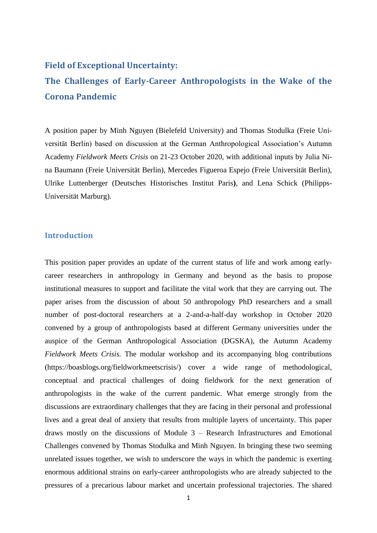### **Field of Exceptional Uncertainty:**

# **The Challenges of Early-Career Anthropologists in the Wake of the Corona Pandemic**

A position paper by Minh Nguyen (Bielefeld University) and Thomas Stodulka (Freie Universität Berlin) based on discussion at the German Anthropological Association's Autumn Academy *Fieldwork Meets Crisis* on 21-23 October 2020, with additional inputs by Julia Nina Baumann (Freie Universität Berlin), Mercedes Figueroa Espejo (Freie Universität Berlin), Ulrike Luttenberger (Deutsches Historisches Institut Paris**)**, and Lena Schick (Philipps-Universität Marburg).

### **Introduction**

This position paper provides an update of the current status of life and work among earlycareer researchers in anthropology in Germany and beyond as the basis to propose institutional measures to support and facilitate the vital work that they are carrying out. The paper arises from the discussion of about 50 anthropology PhD researchers and a small number of post-doctoral researchers at a 2-and-a-half-day workshop in October 2020 convened by a group of anthropologists based at different Germany universities under the auspice of the German Anthropological Association (DGSKA), the Autumn Academy *Fieldwork Meets Crisis.* The modular workshop and its accompanying blog contributions (https://boasblogs.org/fieldworkmeetscrisis/) cover a wide range of methodological, conceptual and practical challenges of doing fieldwork for the next generation of anthropologists in the wake of the current pandemic. What emerge strongly from the discussions are extraordinary challenges that they are facing in their personal and professional lives and a great deal of anxiety that results from multiple layers of uncertainty. This paper draws mostly on the discussions of Module 3 – Research Infrastructures and Emotional Challenges convened by Thomas Stodulka and Minh Nguyen. In bringing these two seeming unrelated issues together, we wish to underscore the ways in which the pandemic is exerting enormous additional strains on early-career anthropologists who are already subjected to the pressures of a precarious labour market and uncertain professional trajectories. The shared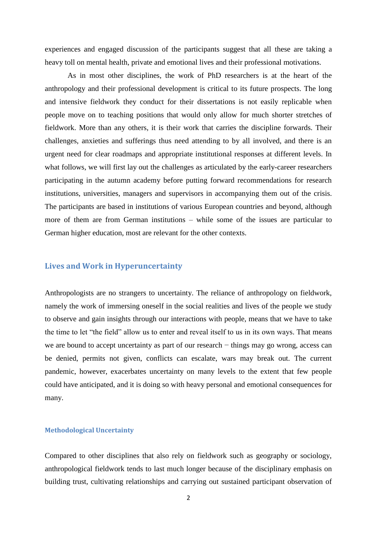experiences and engaged discussion of the participants suggest that all these are taking a heavy toll on mental health, private and emotional lives and their professional motivations.

As in most other disciplines, the work of PhD researchers is at the heart of the anthropology and their professional development is critical to its future prospects. The long and intensive fieldwork they conduct for their dissertations is not easily replicable when people move on to teaching positions that would only allow for much shorter stretches of fieldwork. More than any others, it is their work that carries the discipline forwards. Their challenges, anxieties and sufferings thus need attending to by all involved, and there is an urgent need for clear roadmaps and appropriate institutional responses at different levels. In what follows, we will first lay out the challenges as articulated by the early-career researchers participating in the autumn academy before putting forward recommendations for research institutions, universities, managers and supervisors in accompanying them out of the crisis. The participants are based in institutions of various European countries and beyond, although more of them are from German institutions – while some of the issues are particular to German higher education, most are relevant for the other contexts.

### **Lives and Work in Hyperuncertainty**

Anthropologists are no strangers to uncertainty. The reliance of anthropology on fieldwork, namely the work of immersing oneself in the social realities and lives of the people we study to observe and gain insights through our interactions with people, means that we have to take the time to let "the field" allow us to enter and reveal itself to us in its own ways. That means we are bound to accept uncertainty as part of our research – things may go wrong, access can be denied, permits not given, conflicts can escalate, wars may break out. The current pandemic, however, exacerbates uncertainty on many levels to the extent that few people could have anticipated, and it is doing so with heavy personal and emotional consequences for many.

#### **Methodological Uncertainty**

Compared to other disciplines that also rely on fieldwork such as geography or sociology, anthropological fieldwork tends to last much longer because of the disciplinary emphasis on building trust, cultivating relationships and carrying out sustained participant observation of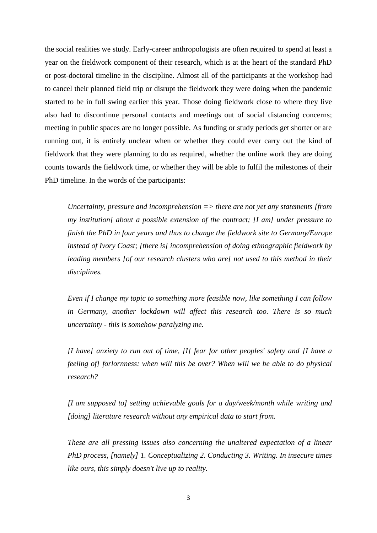the social realities we study. Early-career anthropologists are often required to spend at least a year on the fieldwork component of their research, which is at the heart of the standard PhD or post-doctoral timeline in the discipline. Almost all of the participants at the workshop had to cancel their planned field trip or disrupt the fieldwork they were doing when the pandemic started to be in full swing earlier this year. Those doing fieldwork close to where they live also had to discontinue personal contacts and meetings out of social distancing concerns; meeting in public spaces are no longer possible. As funding or study periods get shorter or are running out, it is entirely unclear when or whether they could ever carry out the kind of fieldwork that they were planning to do as required, whether the online work they are doing counts towards the fieldwork time, or whether they will be able to fulfil the milestones of their PhD timeline. In the words of the participants:

*Uncertainty, pressure and incomprehension => there are not yet any statements [from my institution] about a possible extension of the contract; [I am] under pressure to finish the PhD in four years and thus to change the fieldwork site to Germany/Europe instead of Ivory Coast; [there is] incomprehension of doing ethnographic fieldwork by leading members [of our research clusters who are] not used to this method in their disciplines.*

*Even if I change my topic to something more feasible now, like something I can follow in Germany, another lockdown will affect this research too. There is so much uncertainty - this is somehow paralyzing me.*

*[I have] anxiety to run out of time, [I] fear for other peoples' safety and [I have a feeling of] forlornness: when will this be over? When will we be able to do physical research?*

*[I am supposed to] setting achievable goals for a day/week/month while writing and [doing] literature research without any empirical data to start from.*

*These are all pressing issues also concerning the unaltered expectation of a linear PhD process, [namely] 1. Conceptualizing 2. Conducting 3. Writing. In insecure times like ours, this simply doesn't live up to reality.*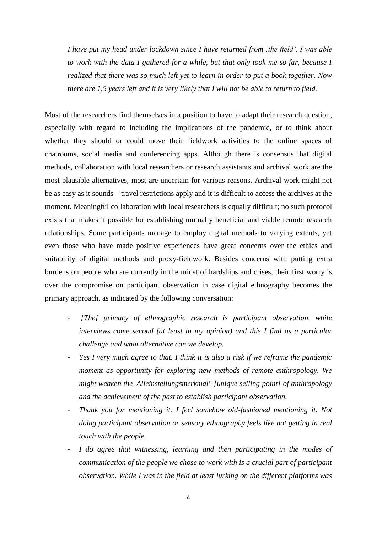*I have put my head under lockdown since I have returned from 'the field'. I was able to work with the data I gathered for a while, but that only took me so far, because I realized that there was so much left yet to learn in order to put a book together. Now there are 1,5 years left and it is very likely that I will not be able to return to field.*

Most of the researchers find themselves in a position to have to adapt their research question, especially with regard to including the implications of the pandemic, or to think about whether they should or could move their fieldwork activities to the online spaces of chatrooms, social media and conferencing apps. Although there is consensus that digital methods, collaboration with local researchers or research assistants and archival work are the most plausible alternatives, most are uncertain for various reasons. Archival work might not be as easy as it sounds – travel restrictions apply and it is difficult to access the archives at the moment. Meaningful collaboration with local researchers is equally difficult; no such protocol exists that makes it possible for establishing mutually beneficial and viable remote research relationships. Some participants manage to employ digital methods to varying extents, yet even those who have made positive experiences have great concerns over the ethics and suitability of digital methods and proxy-fieldwork. Besides concerns with putting extra burdens on people who are currently in the midst of hardships and crises, their first worry is over the compromise on participant observation in case digital ethnography becomes the primary approach, as indicated by the following conversation:

- *[The] primacy of ethnographic research is participant observation, while interviews come second (at least in my opinion) and this I find as a particular challenge and what alternative can we develop.*
- *Yes I very much agree to that. I think it is also a risk if we reframe the pandemic moment as opportunity for exploring new methods of remote anthropology. We might weaken the 'Alleinstellungsmerkmal" [unique selling point] of anthropology and the achievement of the past to establish participant observation.*
- *Thank you for mentioning it. I feel somehow old-fashioned mentioning it. Not doing participant observation or sensory ethnography feels like not getting in real touch with the people.*
- *I do agree that witnessing, learning and then participating in the modes of communication of the people we chose to work with is a crucial part of participant observation. While I was in the field at least lurking on the different platforms was*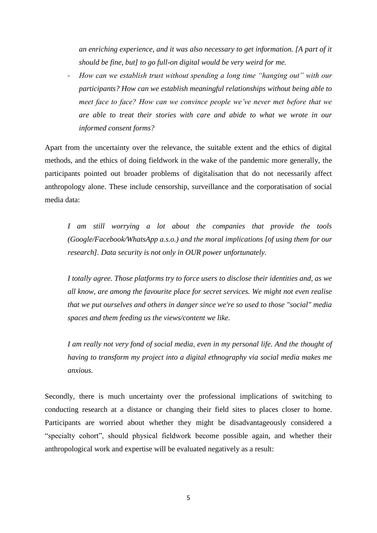*an enriching experience, and it was also necessary to get information. [A part of it should be fine, but] to go full-on digital would be very weird for me.*

- *How can we establish trust without spending a long time "hanging out" with our participants? How can we establish meaningful relationships without being able to meet face to face? How can we convince people we've never met before that we are able to treat their stories with care and abide to what we wrote in our informed consent forms?*

Apart from the uncertainty over the relevance, the suitable extent and the ethics of digital methods, and the ethics of doing fieldwork in the wake of the pandemic more generally, the participants pointed out broader problems of digitalisation that do not necessarily affect anthropology alone. These include censorship, surveillance and the corporatisation of social media data:

*I am still worrying a lot about the companies that provide the tools (Google/Facebook/WhatsApp a.s.o.) and the moral implications [of using them for our research]. Data security is not only in OUR power unfortunately.* 

*I totally agree. Those platforms try to force users to disclose their identities and, as we all know, are among the favourite place for secret services. We might not even realise that we put ourselves and others in danger since we're so used to those "social" media spaces and them feeding us the views/content we like.*

*I am really not very fond of social media, even in my personal life. And the thought of having to transform my project into a digital ethnography via social media makes me anxious.*

Secondly, there is much uncertainty over the professional implications of switching to conducting research at a distance or changing their field sites to places closer to home. Participants are worried about whether they might be disadvantageously considered a "specialty cohort", should physical fieldwork become possible again, and whether their anthropological work and expertise will be evaluated negatively as a result: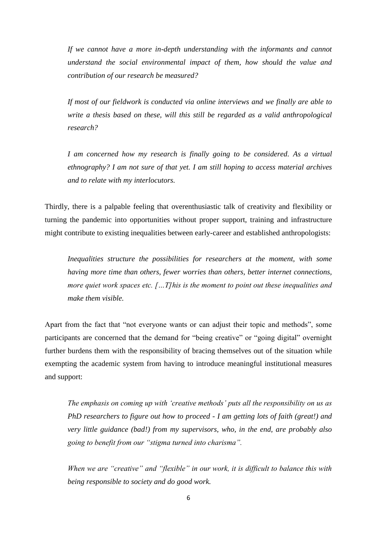*If we cannot have a more in-depth understanding with the informants and cannot understand the social environmental impact of them, how should the value and contribution of our research be measured?*

*If most of our fieldwork is conducted via online interviews and we finally are able to write a thesis based on these, will this still be regarded as a valid anthropological research?*

*I am concerned how my research is finally going to be considered. As a virtual ethnography? I am not sure of that yet. I am still hoping to access material archives and to relate with my interlocutors.*

Thirdly, there is a palpable feeling that overenthusiastic talk of creativity and flexibility or turning the pandemic into opportunities without proper support, training and infrastructure might contribute to existing inequalities between early-career and established anthropologists:

*Inequalities structure the possibilities for researchers at the moment, with some having more time than others, fewer worries than others, better internet connections, more quiet work spaces etc. […T]his is the moment to point out these inequalities and make them visible.*

Apart from the fact that "not everyone wants or can adjust their topic and methods", some participants are concerned that the demand for "being creative" or "going digital" overnight further burdens them with the responsibility of bracing themselves out of the situation while exempting the academic system from having to introduce meaningful institutional measures and support:

*The emphasis on coming up with 'creative methods' puts all the responsibility on us as PhD researchers to figure out how to proceed - I am getting lots of faith (great!) and very little guidance (bad!) from my supervisors, who, in the end, are probably also going to benefit from our "stigma turned into charisma".*

*When we are "creative" and "flexible" in our work, it is difficult to balance this with being responsible to society and do good work.*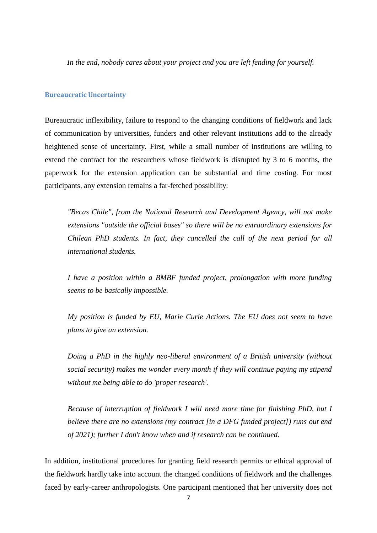*In the end, nobody cares about your project and you are left fending for yourself.*

#### **Bureaucratic Uncertainty**

Bureaucratic inflexibility, failure to respond to the changing conditions of fieldwork and lack of communication by universities, funders and other relevant institutions add to the already heightened sense of uncertainty. First, while a small number of institutions are willing to extend the contract for the researchers whose fieldwork is disrupted by 3 to 6 months, the paperwork for the extension application can be substantial and time costing. For most participants, any extension remains a far-fetched possibility:

*"Becas Chile", from the National Research and Development Agency, will not make extensions "outside the official bases" so there will be no extraordinary extensions for Chilean PhD students. In fact, they cancelled the call of the next period for all international students.*

*I have a position within a BMBF funded project, prolongation with more funding seems to be basically impossible.* 

*My position is funded by EU, Marie Curie Actions. The EU does not seem to have plans to give an extension.*

*Doing a PhD in the highly neo-liberal environment of a British university (without social security) makes me wonder every month if they will continue paying my stipend without me being able to do 'proper research'.*

*Because of interruption of fieldwork I will need more time for finishing PhD, but I believe there are no extensions (my contract [in a DFG funded project]) runs out end of 2021); further I don't know when and if research can be continued.*

In addition, institutional procedures for granting field research permits or ethical approval of the fieldwork hardly take into account the changed conditions of fieldwork and the challenges faced by early-career anthropologists. One participant mentioned that her university does not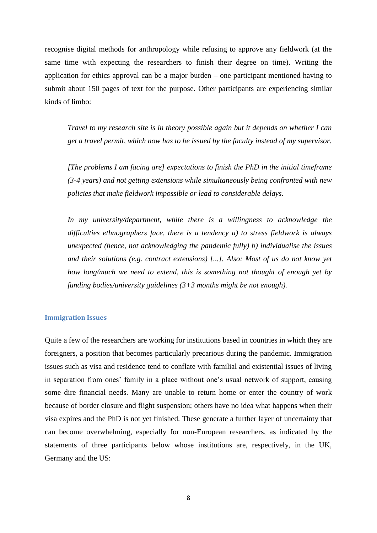recognise digital methods for anthropology while refusing to approve any fieldwork (at the same time with expecting the researchers to finish their degree on time). Writing the application for ethics approval can be a major burden – one participant mentioned having to submit about 150 pages of text for the purpose. Other participants are experiencing similar kinds of limbo:

*Travel to my research site is in theory possible again but it depends on whether I can get a travel permit, which now has to be issued by the faculty instead of my supervisor.*

*[The problems I am facing are] expectations to finish the PhD in the initial timeframe (3-4 years) and not getting extensions while simultaneously being confronted with new policies that make fieldwork impossible or lead to considerable delays.* 

*In my university/department, while there is a willingness to acknowledge the difficulties ethnographers face, there is a tendency a) to stress fieldwork is always unexpected (hence, not acknowledging the pandemic fully) b) individualise the issues and their solutions (e.g. contract extensions) [...]. Also: Most of us do not know yet how long/much we need to extend, this is something not thought of enough yet by funding bodies/university guidelines (3+3 months might be not enough).*

#### **Immigration Issues**

Quite a few of the researchers are working for institutions based in countries in which they are foreigners, a position that becomes particularly precarious during the pandemic. Immigration issues such as visa and residence tend to conflate with familial and existential issues of living in separation from ones' family in a place without one's usual network of support, causing some dire financial needs. Many are unable to return home or enter the country of work because of border closure and flight suspension; others have no idea what happens when their visa expires and the PhD is not yet finished. These generate a further layer of uncertainty that can become overwhelming, especially for non-European researchers, as indicated by the statements of three participants below whose institutions are, respectively, in the UK, Germany and the US: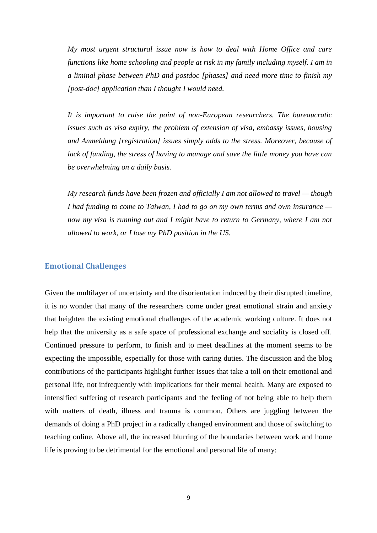*My most urgent structural issue now is how to deal with Home Office and care functions like home schooling and people at risk in my family including myself. I am in a liminal phase between PhD and postdoc [phases] and need more time to finish my [post-doc] application than I thought I would need.*

*It is important to raise the point of non-European researchers. The bureaucratic issues such as visa expiry, the problem of extension of visa, embassy issues, housing and Anmeldung [registration] issues simply adds to the stress. Moreover, because of lack of funding, the stress of having to manage and save the little money you have can be overwhelming on a daily basis.* 

*My research funds have been frozen and officially I am not allowed to travel — though I had funding to come to Taiwan, I had to go on my own terms and own insurance now my visa is running out and I might have to return to Germany, where I am not allowed to work, or I lose my PhD position in the US.*

#### **Emotional Challenges**

Given the multilayer of uncertainty and the disorientation induced by their disrupted timeline, it is no wonder that many of the researchers come under great emotional strain and anxiety that heighten the existing emotional challenges of the academic working culture. It does not help that the university as a safe space of professional exchange and sociality is closed off. Continued pressure to perform, to finish and to meet deadlines at the moment seems to be expecting the impossible, especially for those with caring duties. The discussion and the blog contributions of the participants highlight further issues that take a toll on their emotional and personal life, not infrequently with implications for their mental health. Many are exposed to intensified suffering of research participants and the feeling of not being able to help them with matters of death, illness and trauma is common. Others are juggling between the demands of doing a PhD project in a radically changed environment and those of switching to teaching online. Above all, the increased blurring of the boundaries between work and home life is proving to be detrimental for the emotional and personal life of many: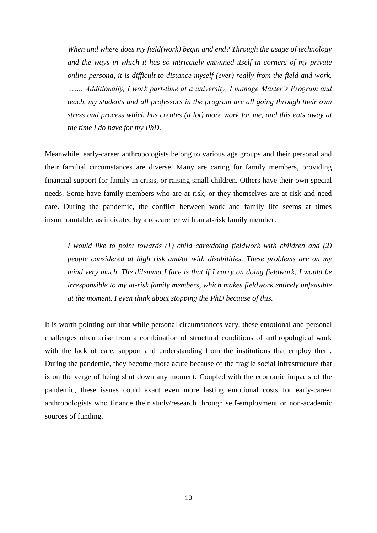*When and where does my field(work) begin and end? Through the usage of technology and the ways in which it has so intricately entwined itself in corners of my private online persona, it is difficult to distance myself (ever) really from the field and work. ……. Additionally, I work part-time at a university, I manage Master's Program and teach, my students and all professors in the program are all going through their own stress and process which has creates (a lot) more work for me, and this eats away at the time I do have for my PhD.* 

Meanwhile, early-career anthropologists belong to various age groups and their personal and their familial circumstances are diverse. Many are caring for family members, providing financial support for family in crisis, or raising small children. Others have their own special needs. Some have family members who are at risk, or they themselves are at risk and need care. During the pandemic, the conflict between work and family life seems at times insurmountable, as indicated by a researcher with an at-risk family member:

*I would like to point towards (1) child care/doing fieldwork with children and (2) people considered at high risk and/or with disabilities. These problems are on my mind very much. The dilemma I face is that if I carry on doing fieldwork, I would be irresponsible to my at-risk family members, which makes fieldwork entirely unfeasible at the moment. I even think about stopping the PhD because of this.*

It is worth pointing out that while personal circumstances vary, these emotional and personal challenges often arise from a combination of structural conditions of anthropological work with the lack of care, support and understanding from the institutions that employ them. During the pandemic, they become more acute because of the fragile social infrastructure that is on the verge of being shut down any moment. Coupled with the economic impacts of the pandemic, these issues could exact even more lasting emotional costs for early-career anthropologists who finance their study/research through self-employment or non-academic sources of funding.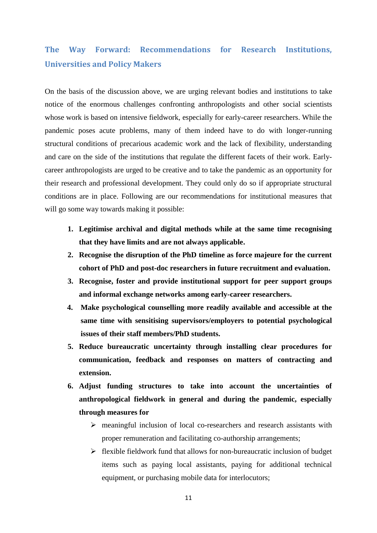# **The Way Forward: Recommendations for Research Institutions, Universities and Policy Makers**

On the basis of the discussion above, we are urging relevant bodies and institutions to take notice of the enormous challenges confronting anthropologists and other social scientists whose work is based on intensive fieldwork, especially for early-career researchers. While the pandemic poses acute problems, many of them indeed have to do with longer-running structural conditions of precarious academic work and the lack of flexibility, understanding and care on the side of the institutions that regulate the different facets of their work. Earlycareer anthropologists are urged to be creative and to take the pandemic as an opportunity for their research and professional development. They could only do so if appropriate structural conditions are in place. Following are our recommendations for institutional measures that will go some way towards making it possible:

- **1. Legitimise archival and digital methods while at the same time recognising that they have limits and are not always applicable.**
- **2. Recognise the disruption of the PhD timeline as force majeure for the current cohort of PhD and post-doc researchers in future recruitment and evaluation.**
- **3. Recognise, foster and provide institutional support for peer support groups and informal exchange networks among early-career researchers.**
- **4. Make psychological counselling more readily available and accessible at the same time with sensitising supervisors/employers to potential psychological issues of their staff members/PhD students.**
- **5. Reduce bureaucratic uncertainty through installing clear procedures for communication, feedback and responses on matters of contracting and extension.**
- **6. Adjust funding structures to take into account the uncertainties of anthropological fieldwork in general and during the pandemic, especially through measures for** 
	- $\triangleright$  meaningful inclusion of local co-researchers and research assistants with proper remuneration and facilitating co-authorship arrangements;
	- $\triangleright$  flexible fieldwork fund that allows for non-bureaucratic inclusion of budget items such as paying local assistants, paying for additional technical equipment, or purchasing mobile data for interlocutors;